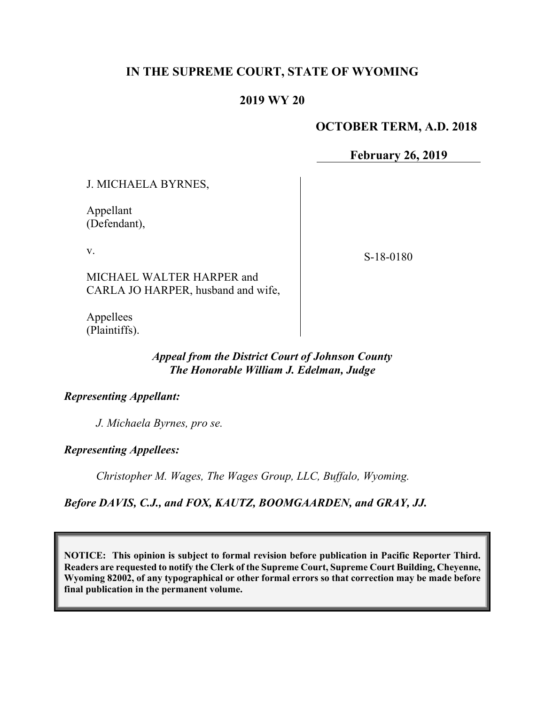# **IN THE SUPREME COURT, STATE OF WYOMING**

### **2019 WY 20**

### **OCTOBER TERM, A.D. 2018**

**February 26, 2019**

J. MICHAELA BYRNES,

Appellant (Defendant),

v.

S-18-0180

MICHAEL WALTER HARPER and CARLA JO HARPER, husband and wife,

Appellees (Plaintiffs).

#### *Appeal from the District Court of Johnson County The Honorable William J. Edelman, Judge*

#### *Representing Appellant:*

*J. Michaela Byrnes, pro se.*

*Representing Appellees:*

*Christopher M. Wages, The Wages Group, LLC, Buffalo, Wyoming.*

*Before DAVIS, C.J., and FOX, KAUTZ, BOOMGAARDEN, and GRAY, JJ.*

**NOTICE: This opinion is subject to formal revision before publication in Pacific Reporter Third. Readers are requested to notify the Clerk of the Supreme Court, Supreme Court Building, Cheyenne, Wyoming 82002, of any typographical or other formal errors so that correction may be made before final publication in the permanent volume.**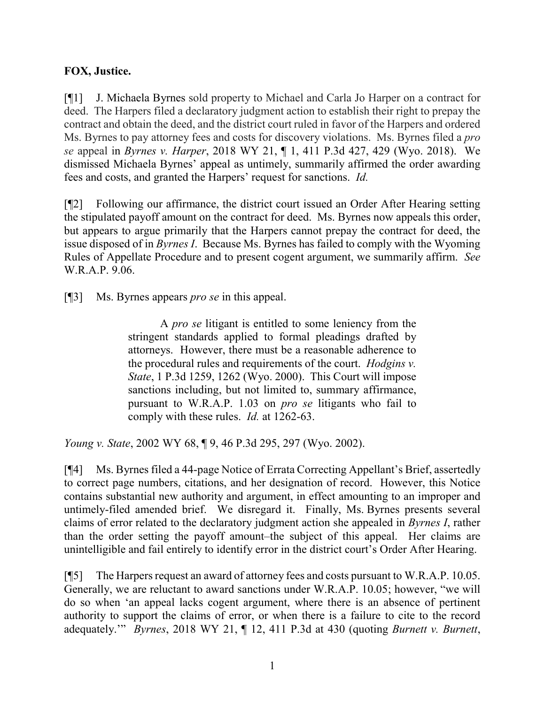# **FOX, Justice.**

[¶1] J. Michaela Byrnes sold property to Michael and Carla Jo Harper on a contract for deed. The Harpers filed a declaratory judgment action to establish their right to prepay the contract and obtain the deed, and the district court ruled in favor of the Harpers and ordered Ms. Byrnes to pay attorney fees and costs for discovery violations. Ms. Byrnes filed a *pro se* appeal in *Byrnes v. Harper*, 2018 WY 21, ¶ 1, 411 P.3d 427, 429 (Wyo. 2018). We dismissed Michaela Byrnes' appeal as untimely, summarily affirmed the order awarding fees and costs, and granted the Harpers' request for sanctions. *Id.* 

[¶2] Following our affirmance, the district court issued an Order After Hearing setting the stipulated payoff amount on the contract for deed. Ms. Byrnes now appeals this order, but appears to argue primarily that the Harpers cannot prepay the contract for deed, the issue disposed of in *Byrnes I*. Because Ms. Byrnes has failed to comply with the Wyoming Rules of Appellate Procedure and to present cogent argument, we summarily affirm. *See*  W.R.A.P. 9.06.

[¶3] Ms. Byrnes appears *pro se* in this appeal.

A *pro se* litigant is entitled to some leniency from the stringent standards applied to formal pleadings drafted by attorneys. However, there must be a reasonable adherence to the procedural rules and requirements of the court. *Hodgins v. State*, 1 P.3d 1259, 1262 (Wyo. 2000). This Court will impose sanctions including, but not limited to, summary affirmance, pursuant to W.R.A.P. 1.03 on *pro se* litigants who fail to comply with these rules. *Id.* at 1262-63.

*Young v. State*, 2002 WY 68, ¶ 9, 46 P.3d 295, 297 (Wyo. 2002).

[¶4] Ms. Byrnes filed a 44-page Notice of Errata Correcting Appellant's Brief, assertedly to correct page numbers, citations, and her designation of record. However, this Notice contains substantial new authority and argument, in effect amounting to an improper and untimely-filed amended brief. We disregard it. Finally, Ms. Byrnes presents several claims of error related to the declaratory judgment action she appealed in *Byrnes I*, rather than the order setting the payoff amount–the subject of this appeal. Her claims are unintelligible and fail entirely to identify error in the district court's Order After Hearing.

[¶5] The Harpers request an award of attorney fees and costs pursuant to W.R.A.P. 10.05. Generally, we are reluctant to award sanctions under W.R.A.P. 10.05; however, "we will do so when 'an appeal lacks cogent argument, where there is an absence of pertinent authority to support the claims of error, or when there is a failure to cite to the record adequately.'" *Byrnes*, 2018 WY 21, ¶ 12, 411 P.3d at 430 (quoting *Burnett v. Burnett*,